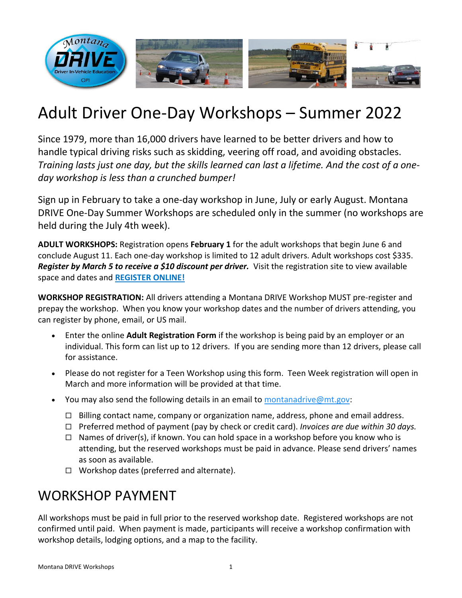

# Adult Driver One-Day Workshops – Summer 2022

Since 1979, more than 16,000 drivers have learned to be better drivers and how to handle typical driving risks such as skidding, veering off road, and avoiding obstacles. *Training lasts just one day, but the skills learned can last a lifetime. And the cost of a oneday workshop is less than a crunched bumper!*

Sign up in February to take a one-day workshop in June, July or early August. Montana DRIVE One-Day Summer Workshops are scheduled only in the summer (no workshops are held during the July 4th week).

**ADULT WORKSHOPS:** Registration opens **February 1** for the adult workshops that begin June 6 and conclude August 11. Each one-day workshop is limited to 12 adult drivers. Adult workshops cost \$335. *Register by March 5 to receive a \$10 discount per driver.* Visit the registration site to view available space and dates and **[REGISTER ONLINE!](http://opi.mt.gov/Families-Students/Family-Student-Support/Driver-Education/Montana-DRIVE-Workshops/Montana-DRIVE-Workshops-Registration)**

**WORKSHOP REGISTRATION:** All drivers attending a Montana DRIVE Workshop MUST pre-register and prepay the workshop. When you know your workshop dates and the number of drivers attending, you can register by phone, email, or US mail.

- Enter the online **Adult Registration Form** if the workshop is being paid by an employer or an individual. This form can list up to 12 drivers. If you are sending more than 12 drivers, please call for assistance.
- Please do not register for a Teen Workshop using this form. Teen Week registration will open in March and more information will be provided at that time.
- You may also send the following details in an email to [montanadrive@mt.gov:](mailto:montanadrive@mt.gov)
	- $\Box$  Billing contact name, company or organization name, address, phone and email address.
	- Preferred method of payment (pay by check or credit card). *Invoices are due within 30 days.*
	- $\Box$  Names of driver(s), if known. You can hold space in a workshop before you know who is attending, but the reserved workshops must be paid in advance. Please send drivers' names as soon as available.
	- $\Box$  Workshop dates (preferred and alternate).

## WORKSHOP PAYMENT

All workshops must be paid in full prior to the reserved workshop date. Registered workshops are not confirmed until paid. When payment is made, participants will receive a workshop confirmation with workshop details, lodging options, and a map to the facility.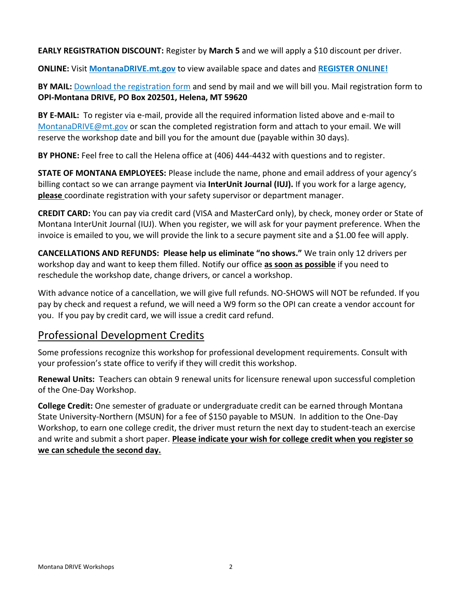**EARLY REGISTRATION DISCOUNT:** Register by **March 5** and we will apply a \$10 discount per driver.

**ONLINE:** Visit **[MontanaDRIVE.mt.gov](http://montanadrive.mt.gov/)** to view available space and dates and **[REGISTER ONLINE!](http://opi.mt.gov/Families-Students/Family-Student-Support/Driver-Education/Montana-DRIVE-Workshops/Montana-DRIVE-Workshops-Registration)**

**BY MAIL:** Download the [registration form](http://opi.mt.gov/Portals/182/Page%20Files/Driver%20Education/Montana%20DRIVE%20Workshops/2021-MontanaDRIVE-Adult-Registration-Form.pdf?ver=2021-02-05-205702-183) and send by mail and we will bill you. Mail registration form to **OPI-Montana DRIVE, PO Box 202501, Helena, MT 59620**

**BY E-MAIL:** To register via e-mail, provide all the required information listed above and e-mail to [MontanaDRIVE@mt.gov](mailto:MontanaDRIVE@mt.gov) or scan the completed registration form and attach to your email. We will reserve the workshop date and bill you for the amount due (payable within 30 days).

**BY PHONE:** Feel free to call the Helena office at (406) 444-4432 with questions and to register.

**STATE OF MONTANA EMPLOYEES:** Please include the name, phone and email address of your agency's billing contact so we can arrange payment via **InterUnit Journal (IUJ).** If you work for a large agency, **please** coordinate registration with your safety supervisor or department manager.

**CREDIT CARD:** You can pay via credit card (VISA and MasterCard only), by check, money order or State of Montana InterUnit Journal (IUJ). When you register, we will ask for your payment preference. When the invoice is emailed to you, we will provide the link to a secure payment site and a \$1.00 fee will apply.

**CANCELLATIONS AND REFUNDS: Please help us eliminate "no shows."** We train only 12 drivers per workshop day and want to keep them filled. Notify our office **as soon as possible** if you need to reschedule the workshop date, change drivers, or cancel a workshop.

With advance notice of a cancellation, we will give full refunds. NO-SHOWS will NOT be refunded. If you pay by check and request a refund, we will need a W9 form so the OPI can create a vendor account for you. If you pay by credit card, we will issue a credit card refund.

## Professional Development Credits

Some professions recognize this workshop for professional development requirements. Consult with your profession's state office to verify if they will credit this workshop.

**Renewal Units:** Teachers can obtain 9 renewal units for licensure renewal upon successful completion of the One-Day Workshop.

**College Credit:** One semester of graduate or undergraduate credit can be earned through Montana State University-Northern (MSUN) for a fee of \$150 payable to MSUN. In addition to the One-Day Workshop, to earn one college credit, the driver must return the next day to student-teach an exercise and write and submit a short paper. **Please indicate your wish for college credit when you register so we can schedule the second day.**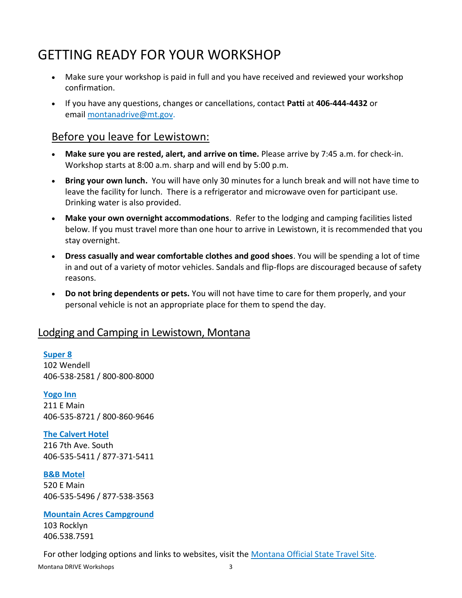## GETTING READY FOR YOUR WORKSHOP

- Make sure your workshop is paid in full and you have received and reviewed your workshop confirmation.
- If you have any questions, changes or cancellations, contact **Patti** at **406-444-4432** or email [montanadrive@mt.gov.](mailto:montanadrive@mt.gov)

### Before you leave for Lewistown:

- **Make sure you are rested, alert, and arrive on time.** Please arrive by 7:45 a.m. for check-in. Workshop starts at 8:00 a.m. sharp and will end by 5:00 p.m.
- **Bring your own lunch.** You will have only 30 minutes for a lunch break and will not have time to leave the facility for lunch. There is a refrigerator and microwave oven for participant use. Drinking water is also provided.
- **Make your own overnight accommodations**. Refer to the lodging and camping facilities listed below. If you must travel more than one hour to arrive in Lewistown, it is recommended that you stay overnight.
- **Dress casually and wear comfortable clothes and good shoes**. You will be spending a lot of time in and out of a variety of motor vehicles. Sandals and flip-flops are discouraged because of safety reasons.
- **Do not bring dependents or pets.** You will not have time to care for them properly, and your personal vehicle is not an appropriate place for them to spend the day.

### Lodging and Camping in Lewistown, Montana

#### **[Super 8](https://www.wyndhamhotels.com/super-8/lewistown-montana/super-8-lewistown/overview)**

102 Wendell 406-538-2581 / 800-800-8000

#### **[Yogo Inn](https://yogoinn.com/)** 211 E Main 406-535-8721 / 800-860-9646

#### **[The Calvert Hotel](http://www.thecalverthotel.com/)**

216 7th Ave. South 406-535-5411 / 877-371-5411

#### **[B&B Motel](https://b-bmotel.com/)**

520 E Main 406-535-5496 / 877-538-3563

#### **[Mountain Acres Campground](https://www.enjoylewistown.com/mountain-acres-rv-campground)**

103 Rocklyn 406.538.7591

Montana DRIVE Workshops 3 For other lodging options and links to websites, visit the [Montana Official State Travel Site.](http://www.visitmt.com/search.html?search=lewistown,+mt)